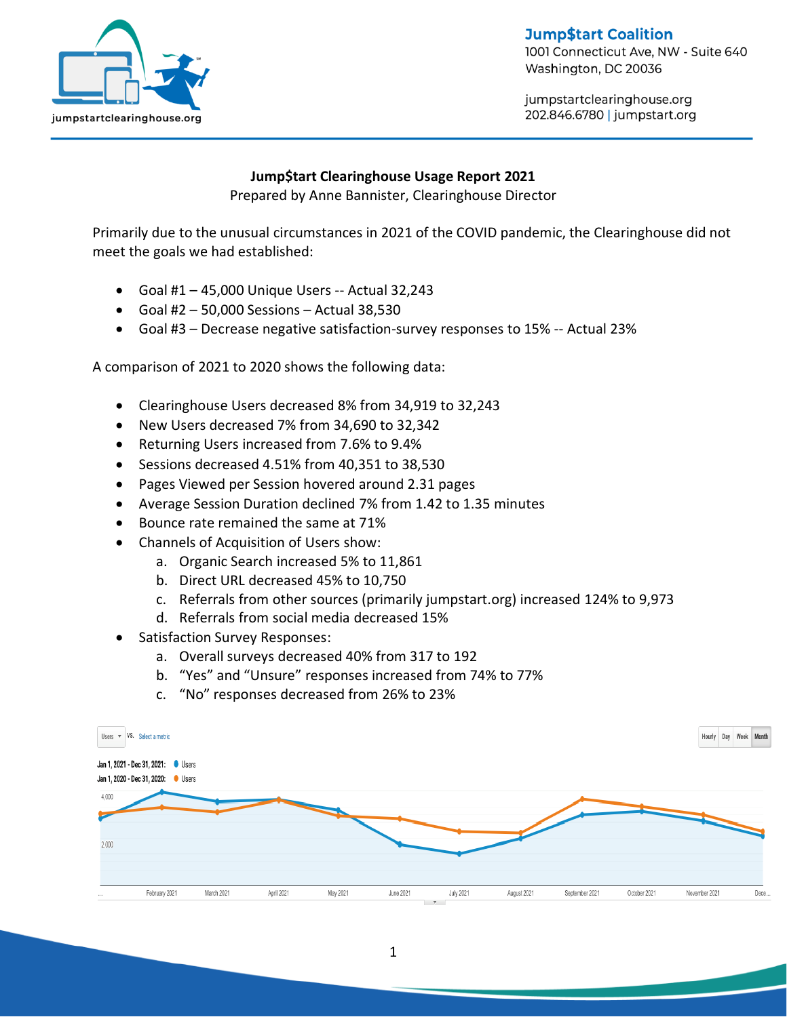

**Jump\$tart Coalition** 

1001 Connecticut Ave, NW - Suite 640 Washington, DC 20036

jumpstartclearinghouse.org 202.846.6780 | jumpstart.org

## **Jump\$tart Clearinghouse Usage Report 2021**

Prepared by Anne Bannister, Clearinghouse Director

Primarily due to the unusual circumstances in 2021 of the COVID pandemic, the Clearinghouse did not meet the goals we had established:

- Goal #1 45,000 Unique Users -- Actual 32,243
- Goal #2 50,000 Sessions Actual 38,530
- Goal #3 Decrease negative satisfaction-survey responses to 15% -- Actual 23%

A comparison of 2021 to 2020 shows the following data:

- Clearinghouse Users decreased 8% from 34,919 to 32,243
- New Users decreased 7% from 34,690 to 32,342
- Returning Users increased from 7.6% to 9.4%
- Sessions decreased 4.51% from 40,351 to 38,530
- Pages Viewed per Session hovered around 2.31 pages
- Average Session Duration declined 7% from 1.42 to 1.35 minutes
- Bounce rate remained the same at 71%
- Channels of Acquisition of Users show:
	- a. Organic Search increased 5% to 11,861
	- b. Direct URL decreased 45% to 10,750
	- c. Referrals from other sources (primarily jumpstart.org) increased 124% to 9,973
	- d. Referrals from social media decreased 15%
- Satisfaction Survey Responses:
	- a. Overall surveys decreased 40% from 317 to 192
	- b. "Yes" and "Unsure" responses increased from 74% to 77%
	- c. "No" responses decreased from 26% to 23%